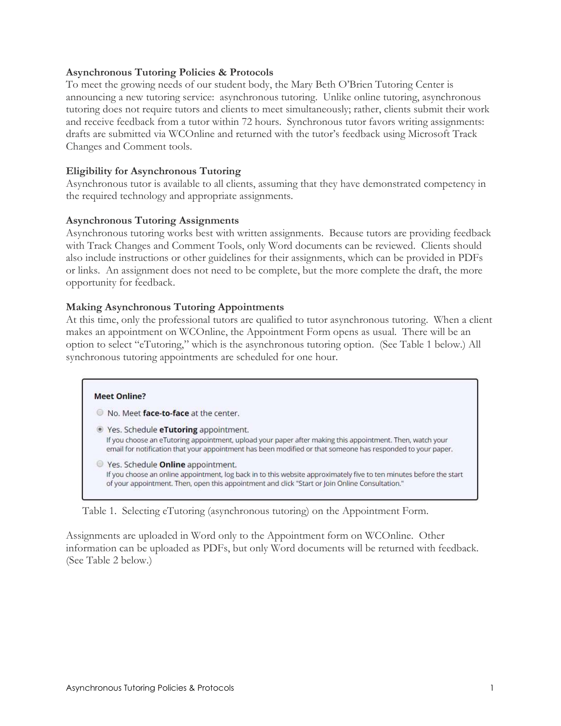## Asynchronous Tutoring Policies & Protocols

To meet the growing needs of our student body, the Mary Beth O'Brien Tutoring Center is announcing a new tutoring service: asynchronous tutoring. Unlike online tutoring, asynchronous tutoring does not require tutors and clients to meet simultaneously; rather, clients submit their work and receive feedback from a tutor within 72 hours. Synchronous tutor favors writing assignments: drafts are submitted via WCOnline and returned with the tutor's feedback using Microsoft Track Changes and Comment tools.

# Eligibility for Asynchronous Tutoring

Asynchronous tutor is available to all clients, assuming that they have demonstrated competency in the required technology and appropriate assignments.

### Asynchronous Tutoring Assignments

Asynchronous tutoring works best with written assignments. Because tutors are providing feedback with Track Changes and Comment Tools, only Word documents can be reviewed. Clients should also include instructions or other guidelines for their assignments, which can be provided in PDFs or links. An assignment does not need to be complete, but the more complete the draft, the more opportunity for feedback.

## Making Asynchronous Tutoring Appointments

At this time, only the professional tutors are qualified to tutor asynchronous tutoring. When a client makes an appointment on WCOnline, the Appointment Form opens as usual. There will be an option to select "eTutoring," which is the asynchronous tutoring option. (See Table 1 below.) All synchronous tutoring appointments are scheduled for one hour.

#### **Meet Online?**

O No. Meet face-to-face at the center.

- lacktriangleright Yes. Schedule eTutoring appointment. If you choose an eTutoring appointment, upload your paper after making this appointment. Then, watch your email for notification that your appointment has been modified or that someone has responded to your paper.
- Yes. Schedule **Online** appointment. If you choose an online appointment, log back in to this website approximately five to ten minutes before the start of your appointment. Then, open this appointment and click "Start or Join Online Consultation."

#### Table 1. Selecting eTutoring (asynchronous tutoring) on the Appointment Form.

Assignments are uploaded in Word only to the Appointment form on WCOnline. Other information can be uploaded as PDFs, but only Word documents will be returned with feedback. (See Table 2 below.)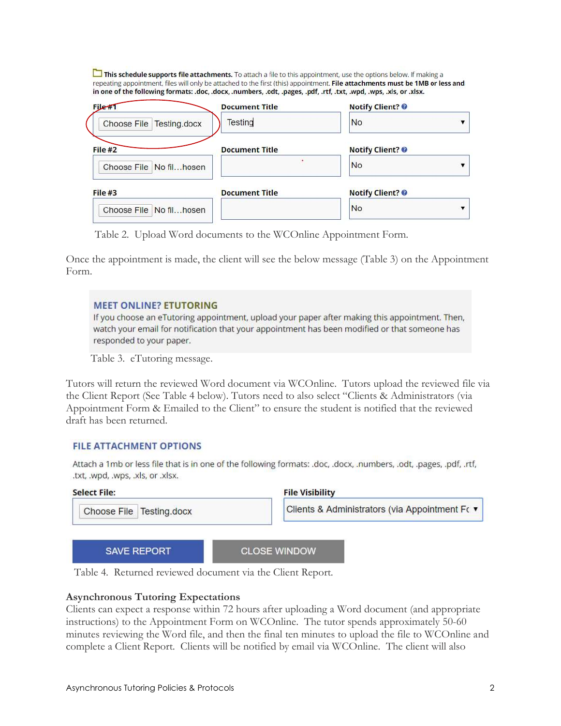This schedule supports file attachments. To attach a file to this appointment, use the options below. If making a repeating appointment, files will only be attached to the first (this) appointment. File attachments must be 1MB or less and in one of the following formats: .doc, .docx, .numbers, .odt, .pages, .pdf, .rtf, .txt, .wpd, .wps, .xls, or .xlsx.

| File#                      | <b>Document Title</b> | <b>Notify Client?</b>   |
|----------------------------|-----------------------|-------------------------|
| Choose File   Testing.docx | <b>Testing</b>        | <b>No</b>               |
| File #2                    | <b>Document Title</b> | <b>Notify Client?</b>   |
| Choose File No filhosen    |                       | <b>No</b>               |
| File#3                     | <b>Document Title</b> | <b>Notify Client? ©</b> |
| Choose File No filhosen    |                       | No                      |

Table 2. Upload Word documents to the WCOnline Appointment Form.

Once the appointment is made, the client will see the below message (Table 3) on the Appointment Form.

## **MEET ONLINE? ETUTORING**

If you choose an eTutoring appointment, upload your paper after making this appointment. Then, watch your email for notification that your appointment has been modified or that someone has responded to your paper.

Table 3. eTutoring message.

Tutors will return the reviewed Word document via WCOnline. Tutors upload the reviewed file via the Client Report (See Table 4 below). Tutors need to also select "Clients & Administrators (via Appointment Form & Emailed to the Client" to ensure the student is notified that the reviewed draft has been returned.

### **FILE ATTACHMENT OPTIONS**

Attach a 1mb or less file that is in one of the following formats: .doc, .docx, .numbers, .odt, .pages, .pdf, .rtf, .txt, .wpd, .wps, .xls, or .xlsx.

| <b>Select File:</b>      | <b>File Visibility</b>                         |
|--------------------------|------------------------------------------------|
| Choose File Testing.docx | Clients & Administrators (via Appointment Fo ▼ |
| <b>SAVE REPORT</b>       | <b>CLOSE WINDOW</b>                            |

Table 4. Returned reviewed document via the Client Report.

### Asynchronous Tutoring Expectations

Clients can expect a response within 72 hours after uploading a Word document (and appropriate instructions) to the Appointment Form on WCOnline. The tutor spends approximately 50-60 minutes reviewing the Word file, and then the final ten minutes to upload the file to WCOnline and complete a Client Report. Clients will be notified by email via WCOnline. The client will also